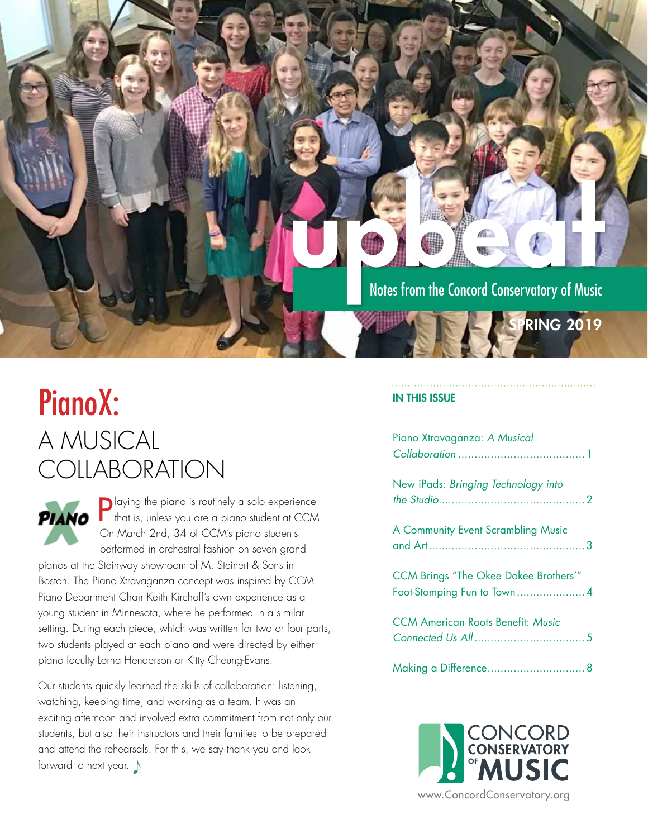### Notes from the Concord Conservatory of Music

**RING 2019** 

## PianoX: A MUSICAL **COLLABORATION**



Playing the piano is routinely a solo experience that is, unless you are a piano student at CCM. On March 2nd, 34 of CCM's piano students performed in orchestral fashion on seven grand

pianos at the Steinway showroom of M. Steinert & Sons in Boston. The Piano Xtravaganza concept was inspired by CCM Piano Department Chair Keith Kirchoff's own experience as a young student in Minnesota, where he performed in a similar setting. During each piece, which was written for two or four parts, two students played at each piano and were directed by either piano faculty Lorna Henderson or Kitty Cheung-Evans.

Our students quickly learned the skills of collaboration: listening, watching, keeping time, and working as a team. It was an exciting afternoon and involved extra commitment from not only our students, but also their instructors and their families to be prepared and attend the rehearsals. For this, we say thank you and look forward to next year.

#### IN THIS ISSUE

| Piano Xtravaganza: A Musical                                               |  |
|----------------------------------------------------------------------------|--|
| New iPads: Bringing Technology into                                        |  |
| A Community Event Scrambling Music                                         |  |
| <b>CCM Brings "The Okee Dokee Brothers'"</b><br>Foot-Stomping Fun to Town4 |  |
| <b>CCM American Roots Benefit: Music</b>                                   |  |
|                                                                            |  |

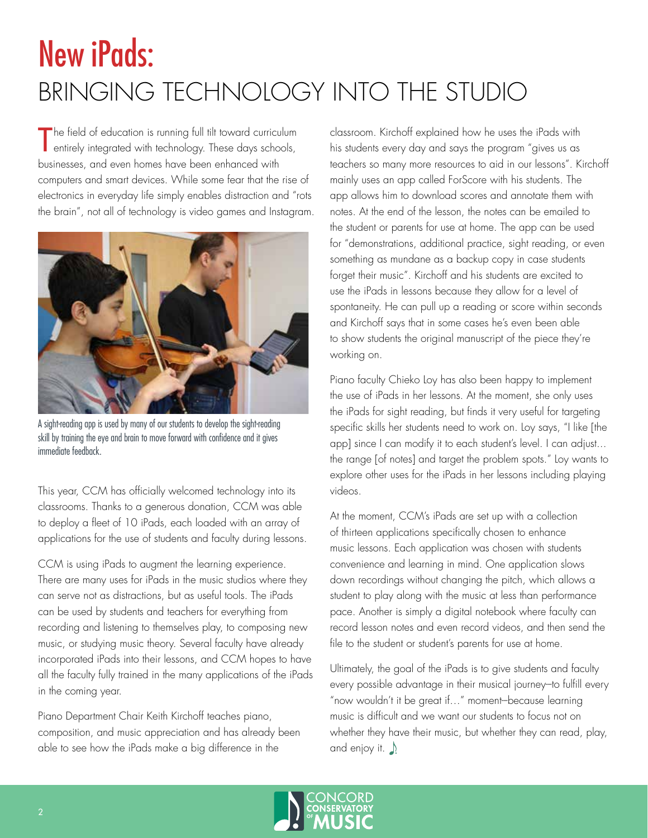# <span id="page-1-0"></span>New iPads: BRINGING TECHNOLOGY INTO THE STUDIO

The field of education is running full tilt toward curriculum<br>entirely integrated with technology. These days schools, entirely integrated with technology. These days schools, businesses, and even homes have been enhanced with computers and smart devices. While some fear that the rise of electronics in everyday life simply enables distraction and "rots the brain", not all of technology is video games and Instagram.



A sight-reading app is used by many of our students to develop the sight-reading skill by training the eye and brain to move forward with confidence and it gives immediate feedback.

This year, CCM has officially welcomed technology into its classrooms. Thanks to a generous donation, CCM was able to deploy a fleet of 10 iPads, each loaded with an array of applications for the use of students and faculty during lessons.

CCM is using iPads to augment the learning experience. There are many uses for iPads in the music studios where they can serve not as distractions, but as useful tools. The iPads can be used by students and teachers for everything from recording and listening to themselves play, to composing new music, or studying music theory. Several faculty have already incorporated iPads into their lessons, and CCM hopes to have all the faculty fully trained in the many applications of the iPads in the coming year.

Piano Department Chair Keith Kirchoff teaches piano, composition, and music appreciation and has already been able to see how the iPads make a big difference in the

classroom. Kirchoff explained how he uses the iPads with his students every day and says the program "gives us as teachers so many more resources to aid in our lessons". Kirchoff mainly uses an app called ForScore with his students. The app allows him to download scores and annotate them with notes. At the end of the lesson, the notes can be emailed to the student or parents for use at home. The app can be used for "demonstrations, additional practice, sight reading, or even something as mundane as a backup copy in case students forget their music". Kirchoff and his students are excited to use the iPads in lessons because they allow for a level of spontaneity. He can pull up a reading or score within seconds and Kirchoff says that in some cases he's even been able to show students the original manuscript of the piece they're working on.

Piano faculty Chieko Loy has also been happy to implement the use of iPads in her lessons. At the moment, she only uses the iPads for sight reading, but finds it very useful for targeting specific skills her students need to work on. Loy says, "I like [the app] since I can modify it to each student's level. I can adjust... the range [of notes] and target the problem spots." Loy wants to explore other uses for the iPads in her lessons including playing videos.

At the moment, CCM's iPads are set up with a collection of thirteen applications specifically chosen to enhance music lessons. Each application was chosen with students convenience and learning in mind. One application slows down recordings without changing the pitch, which allows a student to play along with the music at less than performance pace. Another is simply a digital notebook where faculty can record lesson notes and even record videos, and then send the file to the student or student's parents for use at home.

Ultimately, the goal of the iPads is to give students and faculty every possible advantage in their musical journey-to fulfill every "now wouldn't it be great if..." moment-because learning music is difficult and we want our students to focus not on whether they have their music, but whether they can read, play, and enjoy it.  $\Box$ 

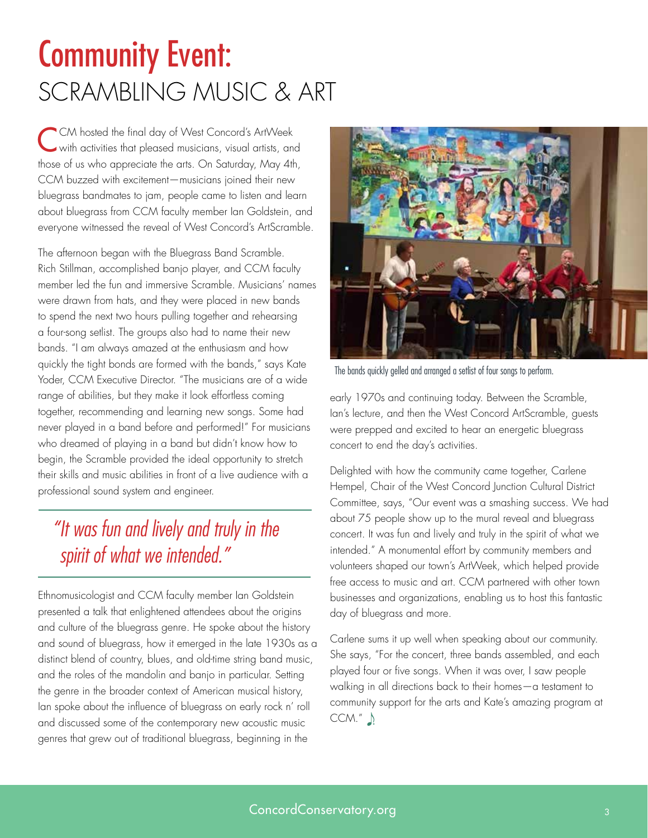# <span id="page-2-0"></span>Community Event: SCRAMBLING MUSIC & ART

CCM hosted the final day of West Concord's ArtWeek with activities that pleased musicians, visual artists, and those of us who appreciate the arts. On Saturday, May 4th, CCM buzzed with excitement—musicians joined their new bluegrass bandmates to jam, people came to listen and learn about bluegrass from CCM faculty member Ian Goldstein, and everyone witnessed the reveal of West Concord's ArtScramble.

The afternoon began with the Bluegrass Band Scramble. Rich Stillman, accomplished banjo player, and CCM faculty member led the fun and immersive Scramble. Musicians' names were drawn from hats, and they were placed in new bands to spend the next two hours pulling together and rehearsing a four-song setlist. The groups also had to name their new bands. "I am always amazed at the enthusiasm and how quickly the tight bonds are formed with the bands," says Kate Yoder, CCM Executive Director. "The musicians are of a wide range of abilities, but they make it look effortless coming together, recommending and learning new songs. Some had never played in a band before and performed!" For musicians who dreamed of playing in a band but didn't know how to begin, the Scramble provided the ideal opportunity to stretch their skills and music abilities in front of a live audience with a professional sound system and engineer.

### *"It was fun and lively and truly in the spirit of what we intended."*

Ethnomusicologist and CCM faculty member Ian Goldstein presented a talk that enlightened attendees about the origins and culture of the bluegrass genre. He spoke about the history and sound of bluegrass, how it emerged in the late 1930s as a distinct blend of country, blues, and old-time string band music, and the roles of the mandolin and banjo in particular. Setting the genre in the broader context of American musical history, Ian spoke about the influence of bluegrass on early rock n' roll and discussed some of the contemporary new acoustic music genres that grew out of traditional bluegrass, beginning in the



The bands quickly gelled and arranged a setlist of four songs to perform.

early 1970s and continuing today. Between the Scramble, Ian's lecture, and then the West Concord ArtScramble, guests were prepped and excited to hear an energetic bluegrass concert to end the day's activities.

Delighted with how the community came together, Carlene Hempel, Chair of the West Concord Junction Cultural District Committee, says, "Our event was a smashing success. We had about 75 people show up to the mural reveal and bluegrass concert. It was fun and lively and truly in the spirit of what we intended." A monumental effort by community members and volunteers shaped our town's ArtWeek, which helped provide free access to music and art. CCM partnered with other town businesses and organizations, enabling us to host this fantastic day of bluegrass and more.

Carlene sums it up well when speaking about our community. She says, "For the concert, three bands assembled, and each played four or five songs. When it was over, I saw people walking in all directions back to their homes—a testament to community support for the arts and Kate's amazing program at  $CCM."$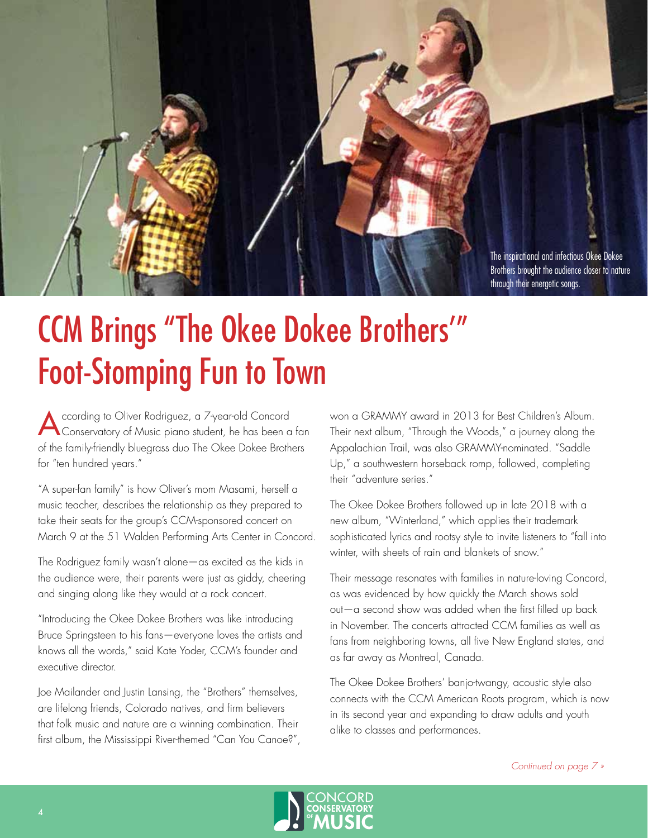<span id="page-3-0"></span>

# CCM Brings "The Okee Dokee Brothers'" Foot-Stomping Fun to Town

According to Oliver Rodriguez, a 7-year-old Concord<br>Conservatory of Music piano student, he has been a fan of the family-friendly bluegrass duo The Okee Dokee Brothers for "ten hundred years."

"A super-fan family" is how Oliver's mom Masami, herself a music teacher, describes the relationship as they prepared to take their seats for the group's CCM-sponsored concert on March 9 at the 51 Walden Performing Arts Center in Concord.

The Rodriguez family wasn't alone—as excited as the kids in the audience were, their parents were just as giddy, cheering and singing along like they would at a rock concert.

"Introducing the Okee Dokee Brothers was like introducing Bruce Springsteen to his fans—everyone loves the artists and knows all the words," said Kate Yoder, CCM's founder and executive director.

Joe Mailander and Justin Lansing, the "Brothers" themselves, are lifelong friends, Colorado natives, and firm believers that folk music and nature are a winning combination. Their first album, the Mississippi River-themed "Can You Canoe?", won a GRAMMY award in 2013 for Best Children's Album. Their next album, "Through the Woods," a journey along the Appalachian Trail, was also GRAMMY-nominated. "Saddle Up," a southwestern horseback romp, followed, completing their "adventure series."

The Okee Dokee Brothers followed up in late 2018 with a new album, "Winterland," which applies their trademark sophisticated lyrics and rootsy style to invite listeners to "fall into winter, with sheets of rain and blankets of snow."

Their message resonates with families in nature-loving Concord, as was evidenced by how quickly the March shows sold out—a second show was added when the first filled up back in November. The concerts attracted CCM families as well as fans from neighboring towns, all five New England states, and as far away as Montreal, Canada.

The Okee Dokee Brothers' banjo-twangy, acoustic style also connects with the CCM American Roots program, which is now in its second year and expanding to draw adults and youth alike to classes and performances.

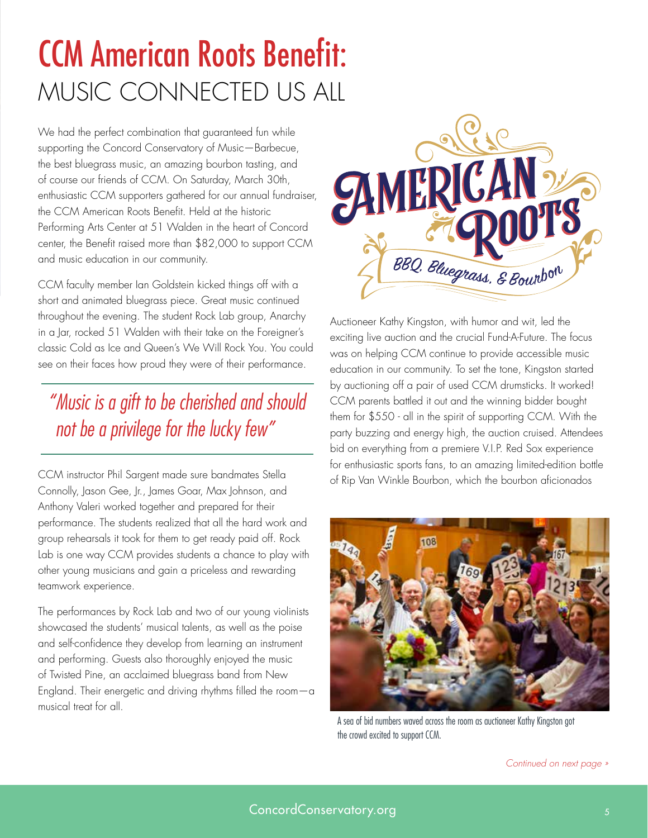# <span id="page-4-0"></span>CCM American Roots Benefit: MUSIC CONNECTED US ALL

We had the perfect combination that guaranteed fun while supporting the Concord Conservatory of Music—Barbecue, the best bluegrass music, an amazing bourbon tasting, and of course our friends of CCM. On Saturday, March 30th, enthusiastic CCM supporters gathered for our annual fundraiser, the CCM American Roots Benefit. Held at the historic Performing Arts Center at 51 Walden in the heart of Concord center, the Benefit raised more than \$82,000 to support CCM and music education in our community.

CCM faculty member Ian Goldstein kicked things off with a short and animated bluegrass piece. Great music continued throughout the evening. The student Rock Lab group, Anarchy in a Jar, rocked 51 Walden with their take on the Foreigner's classic Cold as Ice and Queen's We Will Rock You. You could see on their faces how proud they were of their performance.

### *"Music is a gift to be cherished and should not be a privilege for the lucky few"*

CCM instructor Phil Sargent made sure bandmates Stella Connolly, Jason Gee, Jr., James Goar, Max Johnson, and Anthony Valeri worked together and prepared for their performance. The students realized that all the hard work and group rehearsals it took for them to get ready paid off. Rock Lab is one way CCM provides students a chance to play with other young musicians and gain a priceless and rewarding teamwork experience.

The performances by Rock Lab and two of our young violinists showcased the students' musical talents, as well as the poise and self-confidence they develop from learning an instrument and performing. Guests also thoroughly enjoyed the music of Twisted Pine, an acclaimed bluegrass band from New England. Their energetic and driving rhythms filled the room $-\alpha$ musical treat for all.



Auctioneer Kathy Kingston, with humor and wit, led the exciting live auction and the crucial Fund-A-Future. The focus was on helping CCM continue to provide accessible music education in our community. To set the tone, Kingston started by auctioning off a pair of used CCM drumsticks. It worked! CCM parents battled it out and the winning bidder bought them for \$550 - all in the spirit of supporting CCM. With the party buzzing and energy high, the auction cruised. Attendees bid on everything from a premiere V.I.P. Red Sox experience for enthusiastic sports fans, to an amazing limited-edition bottle of Rip Van Winkle Bourbon, which the bourbon aficionados



A sea of bid numbers waved across the room as auctioneer Kathy Kingston got the crowd excited to support CCM.

*Continued on next page »*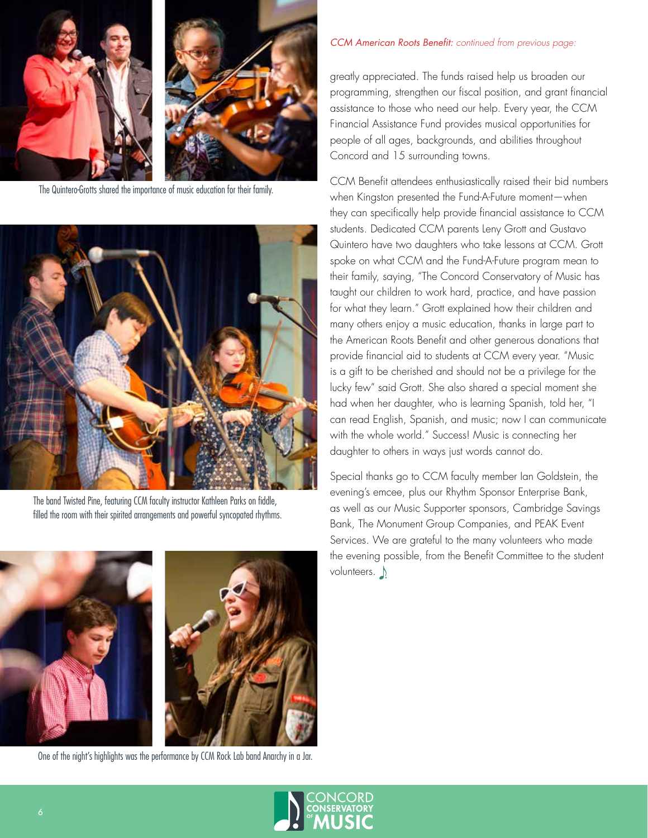

The Quintero-Grotts shared the importance of music education for their family.



The band Twisted Pine, featuring CCM faculty instructor Kathleen Parks on fiddle, filled the room with their spirited arrangements and powerful syncopated rhythms.



One of the night's highlights was the performance by CCM Rock Lab band Anarchy in a Jar.

#### *CCM American Roots Benefit: continued from previous page:*

greatly appreciated. The funds raised help us broaden our programming, strengthen our fiscal position, and grant financial assistance to those who need our help. Every year, the CCM Financial Assistance Fund provides musical opportunities for people of all ages, backgrounds, and abilities throughout Concord and 15 surrounding towns.

CCM Benefit attendees enthusiastically raised their bid numbers when Kingston presented the Fund-A-Future moment—when they can specifically help provide financial assistance to CCM students. Dedicated CCM parents Leny Grott and Gustavo Quintero have two daughters who take lessons at CCM. Grott spoke on what CCM and the Fund-A-Future program mean to their family, saying, "The Concord Conservatory of Music has taught our children to work hard, practice, and have passion for what they learn." Grott explained how their children and many others enjoy a music education, thanks in large part to the American Roots Benefit and other generous donations that provide financial aid to students at CCM every year. "Music is a gift to be cherished and should not be a privilege for the lucky few" said Grott. She also shared a special moment she had when her daughter, who is learning Spanish, told her, "I can read English, Spanish, and music; now I can communicate with the whole world." Success! Music is connecting her daughter to others in ways just words cannot do.

Special thanks go to CCM faculty member Ian Goldstein, the evening's emcee, plus our Rhythm Sponsor Enterprise Bank, as well as our Music Supporter sponsors, Cambridge Savings Bank, The Monument Group Companies, and PEAK Event Services. We are grateful to the many volunteers who made the evening possible, from the Benefit Committee to the student volunteers.  $\bigwedge$ 

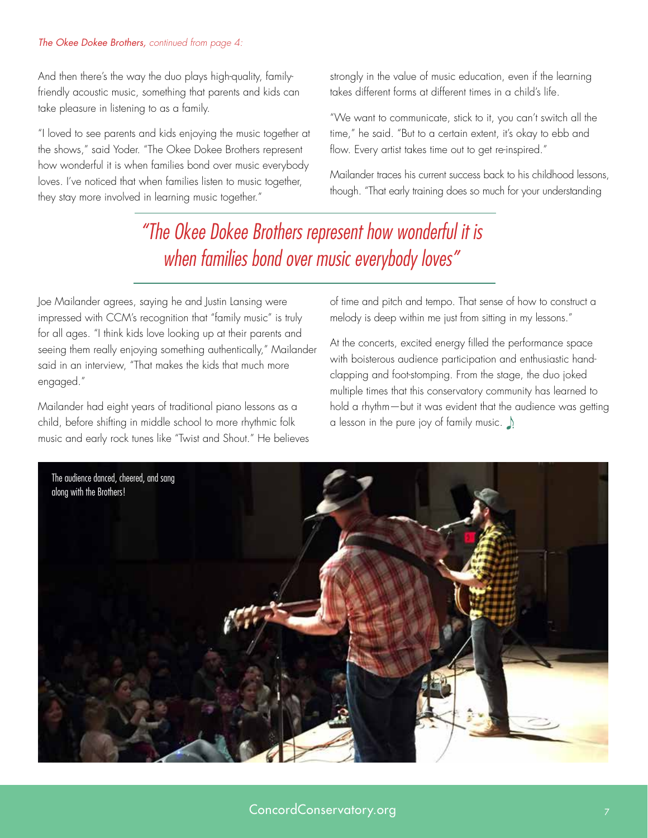#### <span id="page-6-0"></span>*The Okee Dokee Brothers, continued from page 4:*

And then there's the way the duo plays high-quality, familyfriendly acoustic music, something that parents and kids can take pleasure in listening to as a family.

"I loved to see parents and kids enjoying the music together at the shows," said Yoder. "The Okee Dokee Brothers represent how wonderful it is when families bond over music everybody loves. I've noticed that when families listen to music together, they stay more involved in learning music together."

strongly in the value of music education, even if the learning takes different forms at different times in a child's life.

"We want to communicate, stick to it, you can't switch all the time," he said. "But to a certain extent, it's okay to ebb and flow. Every artist takes time out to get re-inspired."

Mailander traces his current success back to his childhood lessons, though. "That early training does so much for your understanding

### *"The Okee Dokee Brothers represent how wonderful it is when families bond over music everybody loves"*

Joe Mailander agrees, saying he and Justin Lansing were impressed with CCM's recognition that "family music" is truly for all ages. "I think kids love looking up at their parents and seeing them really enjoying something authentically," Mailander said in an interview, "That makes the kids that much more engaged."

Mailander had eight years of traditional piano lessons as a child, before shifting in middle school to more rhythmic folk music and early rock tunes like "Twist and Shout." He believes of time and pitch and tempo. That sense of how to construct a melody is deep within me just from sitting in my lessons."

At the concerts, excited energy filled the performance space with boisterous audience participation and enthusiastic handclapping and foot-stomping. From the stage, the duo joked multiple times that this conservatory community has learned to hold a rhythm—but it was evident that the audience was getting a lesson in the pure joy of family music.  $\Lambda$